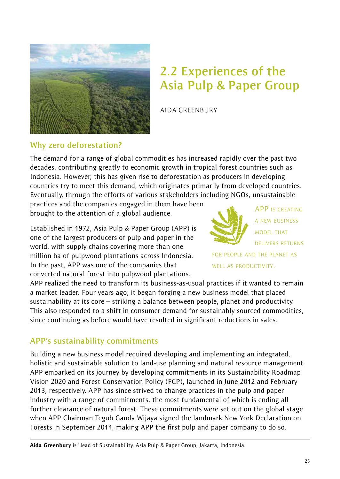

# **2.2 Experiences of the Asia Pulp & Paper Group**

AIDA GREENBURY

## **Why zero deforestation?**

The demand for a range of global commodities has increased rapidly over the past two decades, contributing greatly to economic growth in tropical forest countries such as Indonesia. However, this has given rise to deforestation as producers in developing countries try to meet this demand, which originates primarily from developed countries. Eventually, through the efforts of various stakeholders including NGOs, unsustainable

practices and the companies engaged in them have been brought to the attention of a global audience.

Established in 1972, Asia Pulp & Paper Group (APP) is one of the largest producers of pulp and paper in the world, with supply chains covering more than one million ha of pulpwood plantations across Indonesia. In the past, APP was one of the companies that converted natural forest into pulpwood plantations.

APP IS CREATING A NEW BUSINESS MODEL THAT DELIVERS RETURNS

FOR PEOPLE AND THE PLANET AS WELL AS PRODUCTIVITY.

APP realized the need to transform its business-as-usual practices if it wanted to remain a market leader. Four years ago, it began forging a new business model that placed sustainability at its core – striking a balance between people, planet and productivity. This also responded to a shift in consumer demand for sustainably sourced commodities, since continuing as before would have resulted in significant reductions in sales.

# **APP's sustainability commitments**

Building a new business model required developing and implementing an integrated, holistic and sustainable solution to land-use planning and natural resource management. APP embarked on its journey by developing commitments in its Sustainability Roadmap Vision 2020 and Forest Conservation Policy (FCP), launched in June 2012 and February 2013, respectively. APP has since strived to change practices in the pulp and paper industry with a range of commitments, the most fundamental of which is ending all further clearance of natural forest. These commitments were set out on the global stage when APP Chairman Teguh Ganda Wijaya signed the landmark New York Declaration on Forests in September 2014, making APP the first pulp and paper company to do so.

Aida Greenbury is Head of Sustainability, Asia Pulp & Paper Group, Jakarta, Indonesia.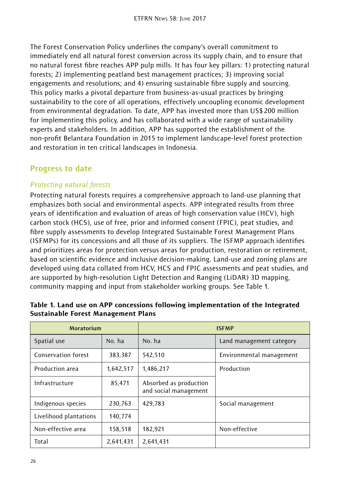The Forest Conservation Policy underlines the company's overall commitment to immediately end all natural forest conversion across its supply chain, and to ensure that no natural forest fibre reaches APP pulp mills. It has four key pillars: 1) protecting natural forests; 2) implementing peatland best management practices; 3) improving social engagements and resolutions; and 4) ensuring sustainable fibre supply and sourcing. This policy marks a pivotal departure from business-as-usual practices by bringing sustainability to the core of all operations, effectively uncoupling economic development from environmental degradation. To date, APP has invested more than US\$200 million for implementing this policy, and has collaborated with a wide range of sustainability experts and stakeholders. In addition, APP has supported the establishment of the non-profit Belantara Foundation in 2015 to implement landscape-level forest protection and restoration in ten critical landscapes in Indonesia.

# **Progress to date**

## *Protecting natural forests*

Protecting natural forests requires a comprehensive approach to land-use planning that emphasizes both social and environmental aspects. APP integrated results from three years of identification and evaluation of areas of high conservation value (HCV), high carbon stock (HCS), use of free, prior and informed consent (FPIC), peat studies, and fibre supply assessments to develop Integrated Sustainable Forest Management Plans (ISFMPs) for its concessions and all those of its suppliers. The ISFMP approach identifies and prioritizes areas for protection versus areas for production, restoration or retirement, based on scientific evidence and inclusive decision-making. Land-use and zoning plans are developed using data collated from HCV, HCS and FPIC assessments and peat studies, and are supported by high-resolution Light Detection and Ranging (LiDAR) 3D mapping, community mapping and input from stakeholder working groups. See Table 1.

| <b>Moratorium</b>      |           | <b>ISFMP</b>                                    |                          |
|------------------------|-----------|-------------------------------------------------|--------------------------|
| Spatial use            | No. ha    | No. ha                                          | Land management category |
| Conservation forest    | 383,387   | 542.510                                         | Environmental management |
| Production area        | 1,642,517 | 1,486,217                                       | Production               |
| Infrastructure         | 85,471    | Absorbed as production<br>and social management |                          |
| Indigenous species     | 230,763   | 429,783                                         | Social management        |
| Livelihood plantations | 140,774   |                                                 |                          |
| Non-effective area     | 158,518   | 182,921                                         | Non-effective            |
| Total                  | 2,641,431 | 2,641,431                                       |                          |

#### Table 1. Land use on APP concessions following implementation of the Integrated Sustainable Forest Management Plans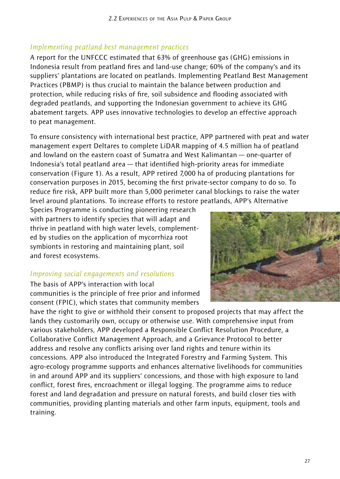## *Implementing peatland best management practices*

A report for the UNFCCC estimated that 63% of greenhouse gas (GHG) emissions in Indonesia result from peatland fires and land-use change; 60% of the company's and its suppliers' plantations are located on peatlands. Implementing Peatland Best Management Practices (PBMP) is thus crucial to maintain the balance between production and protection, while reducing risks of fire, soil subsidence and flooding associated with degraded peatlands, and supporting the Indonesian government to achieve its GHG abatement targets. APP uses innovative technologies to develop an effective approach to peat management.

To ensure consistency with international best practice, APP partnered with peat and water management expert Deltares to complete LiDAR mapping of 4.5 million ha of peatland and lowland on the eastern coast of Sumatra and West Kalimantan — one-quarter of Indonesia's total peatland area — that identified high-priority areas for immediate conservation (Figure 1). As a result, APP retired 7,000 ha of producing plantations for conservation purposes in 2015, becoming the first private-sector company to do so. To reduce fire risk, APP built more than 5,000 perimeter canal blockings to raise the water level around plantations. To increase efforts to restore peatlands, APP's Alternative

Species Programme is conducting pioneering research with partners to identify species that will adapt and thrive in peatland with high water levels, complemented by studies on the application of mycorrhiza root symbionts in restoring and maintaining plant, soil and forest ecosystems.

#### *Improving social engagements and resolutions*

The basis of APP's interaction with local communities is the principle of free prior and informed consent (FPIC), which states that community members

have the right to give or withhold their consent to proposed projects that may affect the lands they customarily own, occupy or otherwise use. With comprehensive input from various stakeholders, APP developed a Responsible Conflict Resolution Procedure, a Collaborative Conflict Management Approach, and a Grievance Protocol to better address and resolve any conflicts arising over land rights and tenure within its concessions. APP also introduced the Integrated Forestry and Farming System. This agro-ecology programme supports and enhances alternative livelihoods for communities in and around APP and its suppliers' concessions, and those with high exposure to land conflict, forest fires, encroachment or illegal logging. The programme aims to reduce forest and land degradation and pressure on natural forests, and build closer ties with communities, providing planting materials and other farm inputs, equipment, tools and training.

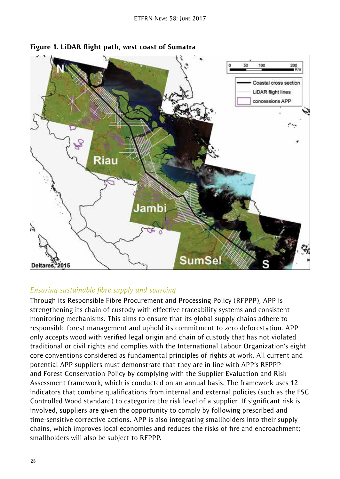



#### *Ensuring sustainable fibre supply and sourcing*

Through its Responsible Fibre Procurement and Processing Policy (RFPPP), APP is strengthening its chain of custody with effective traceability systems and consistent monitoring mechanisms. This aims to ensure that its global supply chains adhere to responsible forest management and uphold its commitment to zero deforestation. APP only accepts wood with verified legal origin and chain of custody that has not violated traditional or civil rights and complies with the International Labour Organization's eight core conventions considered as fundamental principles of rights at work. All current and potential APP suppliers must demonstrate that they are in line with APP's RFPPP and Forest Conservation Policy by complying with the Supplier Evaluation and Risk Assessment framework, which is conducted on an annual basis. The framework uses 12 indicators that combine qualifications from internal and external policies (such as the FSC Controlled Wood standard) to categorize the risk level of a supplier. If significant risk is involved, suppliers are given the opportunity to comply by following prescribed and time-sensitive corrective actions. APP is also integrating smallholders into their supply chains, which improves local economies and reduces the risks of fire and encroachment; smallholders will also be subject to RFPPP.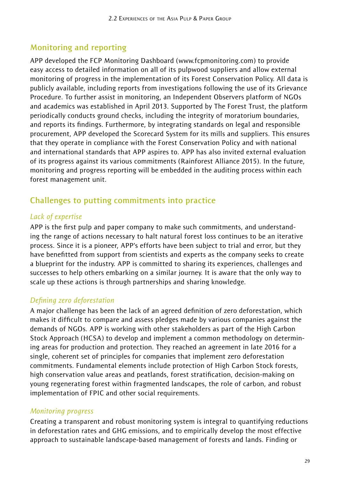# **Monitoring and reporting**

APP developed the FCP Monitoring Dashboard (www.fcpmonitoring.com) to provide easy access to detailed information on all of its pulpwood suppliers and allow external monitoring of progress in the implementation of its Forest Conservation Policy. All data is publicly available, including reports from investigations following the use of its Grievance Procedure. To further assist in monitoring, an Independent Observers platform of NGOs and academics was established in April 2013. Supported by The Forest Trust, the platform periodically conducts ground checks, including the integrity of moratorium boundaries, and reports its findings. Furthermore, by integrating standards on legal and responsible procurement, APP developed the Scorecard System for its mills and suppliers. This ensures that they operate in compliance with the Forest Conservation Policy and with national and international standards that APP aspires to. APP has also invited external evaluation of its progress against its various commitments (Rainforest Alliance 2015). In the future, monitoring and progress reporting will be embedded in the auditing process within each forest management unit.

# **Challenges to putting commitments into practice**

## *Lack of expertise*

APP is the first pulp and paper company to make such commitments, and understanding the range of actions necessary to halt natural forest loss continues to be an iterative process. Since it is a pioneer, APP's efforts have been subject to trial and error, but they have benefitted from support from scientists and experts as the company seeks to create a blueprint for the industry. APP is committed to sharing its experiences, challenges and successes to help others embarking on a similar journey. It is aware that the only way to scale up these actions is through partnerships and sharing knowledge.

## *Defining zero deforestation*

A major challenge has been the lack of an agreed definition of zero deforestation, which makes it difficult to compare and assess pledges made by various companies against the demands of NGOs. APP is working with other stakeholders as part of the High Carbon Stock Approach (HCSA) to develop and implement a common methodology on determining areas for production and protection. They reached an agreement in late 2016 for a single, coherent set of principles for companies that implement zero deforestation commitments. Fundamental elements include protection of High Carbon Stock forests, high conservation value areas and peatlands, forest stratification, decision-making on young regenerating forest within fragmented landscapes, the role of carbon, and robust implementation of FPIC and other social requirements.

#### *Monitoring progress*

Creating a transparent and robust monitoring system is integral to quantifying reductions in deforestation rates and GHG emissions, and to empirically develop the most effective approach to sustainable landscape-based management of forests and lands. Finding or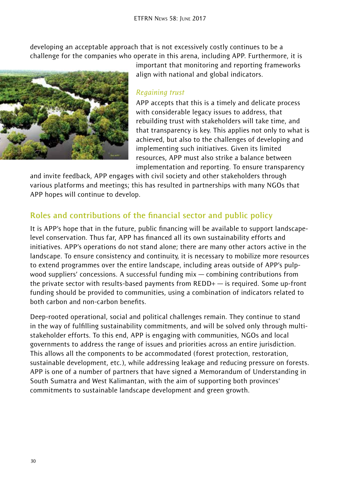developing an acceptable approach that is not excessively costly continues to be a challenge for the companies who operate in this arena, including APP. Furthermore, it is



important that monitoring and reporting frameworks align with national and global indicators.

#### *Regaining trust*

APP accepts that this is a timely and delicate process with considerable legacy issues to address, that rebuilding trust with stakeholders will take time, and that transparency is key. This applies not only to what is achieved, but also to the challenges of developing and implementing such initiatives. Given its limited resources, APP must also strike a balance between implementation and reporting. To ensure transparency

and invite feedback, APP engages with civil society and other stakeholders through various platforms and meetings; this has resulted in partnerships with many NGOs that APP hopes will continue to develop.

# **Roles and contributions of the financial sector and public policy**

It is APP's hope that in the future, public financing will be available to support landscapelevel conservation. Thus far, APP has financed all its own sustainability efforts and initiatives. APP's operations do not stand alone; there are many other actors active in the landscape. To ensure consistency and continuity, it is necessary to mobilize more resources to extend programmes over the entire landscape, including areas outside of APP's pulpwood suppliers' concessions. A successful funding mix — combining contributions from the private sector with results-based payments from REDD+ — is required. Some up-front funding should be provided to communities, using a combination of indicators related to both carbon and non-carbon benefits.

Deep-rooted operational, social and political challenges remain. They continue to stand in the way of fulfilling sustainability commitments, and will be solved only through multistakeholder efforts. To this end, APP is engaging with communities, NGOs and local governments to address the range of issues and priorities across an entire jurisdiction. This allows all the components to be accommodated (forest protection, restoration, sustainable development, etc.), while addressing leakage and reducing pressure on forests. APP is one of a number of partners that have signed a Memorandum of Understanding in South Sumatra and West Kalimantan, with the aim of supporting both provinces' commitments to sustainable landscape development and green growth.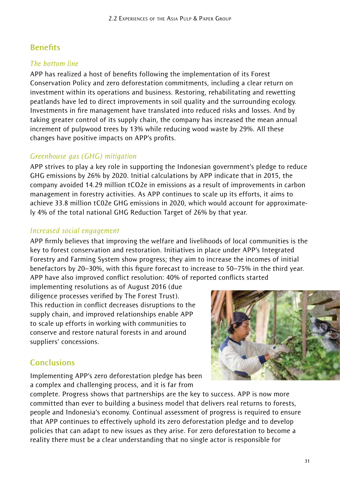# **Benefits**

## *The bottom line*

APP has realized a host of benefits following the implementation of its Forest Conservation Policy and zero deforestation commitments, including a clear return on investment within its operations and business. Restoring, rehabilitating and rewetting peatlands have led to direct improvements in soil quality and the surrounding ecology. Investments in fire management have translated into reduced risks and losses. And by taking greater control of its supply chain, the company has increased the mean annual increment of pulpwood trees by 13% while reducing wood waste by 29%. All these changes have positive impacts on APP's profits.

## *Greenhouse gas (GHG) mitigation*

APP strives to play a key role in supporting the Indonesian government's pledge to reduce GHG emissions by 26% by 2020. Initial calculations by APP indicate that in 2015, the company avoided 14.29 million tCO2e in emissions as a result of improvements in carbon management in forestry activities. As APP continues to scale up its efforts, it aims to achieve 33.8 million tC02e GHG emissions in 2020, which would account for approximately 4% of the total national GHG Reduction Target of 26% by that year.

#### *Increased social engagement*

APP firmly believes that improving the welfare and livelihoods of local communities is the key to forest conservation and restoration. Initiatives in place under APP's Integrated Forestry and Farming System show progress; they aim to increase the incomes of initial benefactors by 20–30%, with this figure forecast to increase to 50–75% in the third year. APP have also improved conflict resolution: 40% of reported conflicts started

implementing resolutions as of August 2016 (due diligence processes verified by The Forest Trust). This reduction in conflict decreases disruptions to the supply chain, and improved relationships enable APP to scale up efforts in working with communities to conserve and restore natural forests in and around suppliers' concessions.



## **Conclusions**

Implementing APP's zero deforestation pledge has been a complex and challenging process, and it is far from

complete. Progress shows that partnerships are the key to success. APP is now more committed than ever to building a business model that delivers real returns to forests, people and Indonesia's economy. Continual assessment of progress is required to ensure that APP continues to effectively uphold its zero deforestation pledge and to develop policies that can adapt to new issues as they arise. For zero deforestation to become a reality there must be a clear understanding that no single actor is responsible for